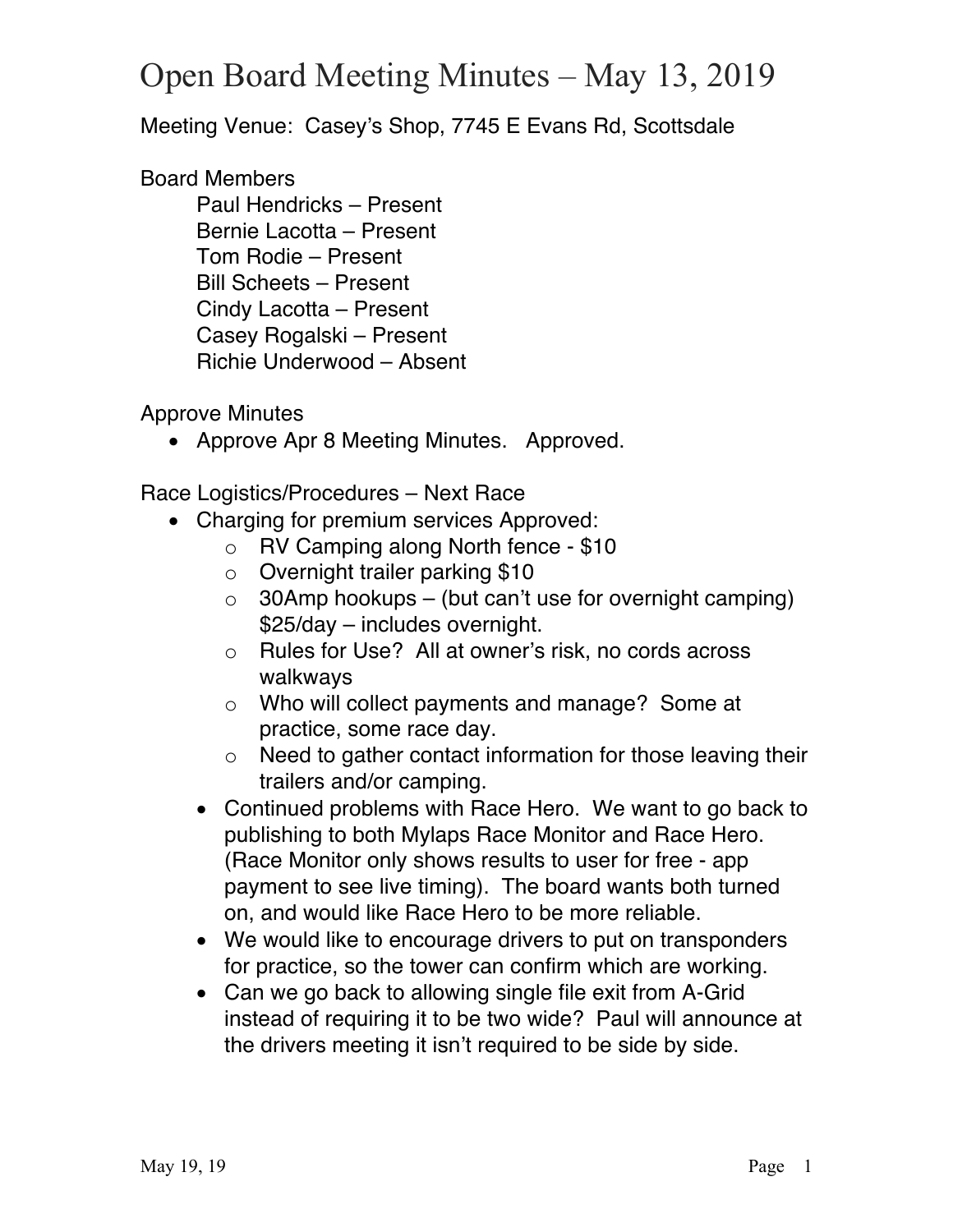Meeting Venue: Casey's Shop, 7745 E Evans Rd, Scottsdale

#### Board Members

Paul Hendricks – Present Bernie Lacotta – Present Tom Rodie – Present Bill Scheets – Present Cindy Lacotta – Present Casey Rogalski – Present Richie Underwood – Absent

Approve Minutes

• Approve Apr 8 Meeting Minutes. Approved.

Race Logistics/Procedures – Next Race

- Charging for premium services Approved:
	- o RV Camping along North fence \$10
	- o Overnight trailer parking \$10
	- $\circ$  30Amp hookups (but can't use for overnight camping) \$25/day – includes overnight.
	- o Rules for Use? All at owner's risk, no cords across walkways
	- o Who will collect payments and manage? Some at practice, some race day.
	- o Need to gather contact information for those leaving their trailers and/or camping.
	- Continued problems with Race Hero. We want to go back to publishing to both Mylaps Race Monitor and Race Hero. (Race Monitor only shows results to user for free - app payment to see live timing). The board wants both turned on, and would like Race Hero to be more reliable.
	- We would like to encourage drivers to put on transponders for practice, so the tower can confirm which are working.
	- Can we go back to allowing single file exit from A-Grid instead of requiring it to be two wide? Paul will announce at the drivers meeting it isn't required to be side by side.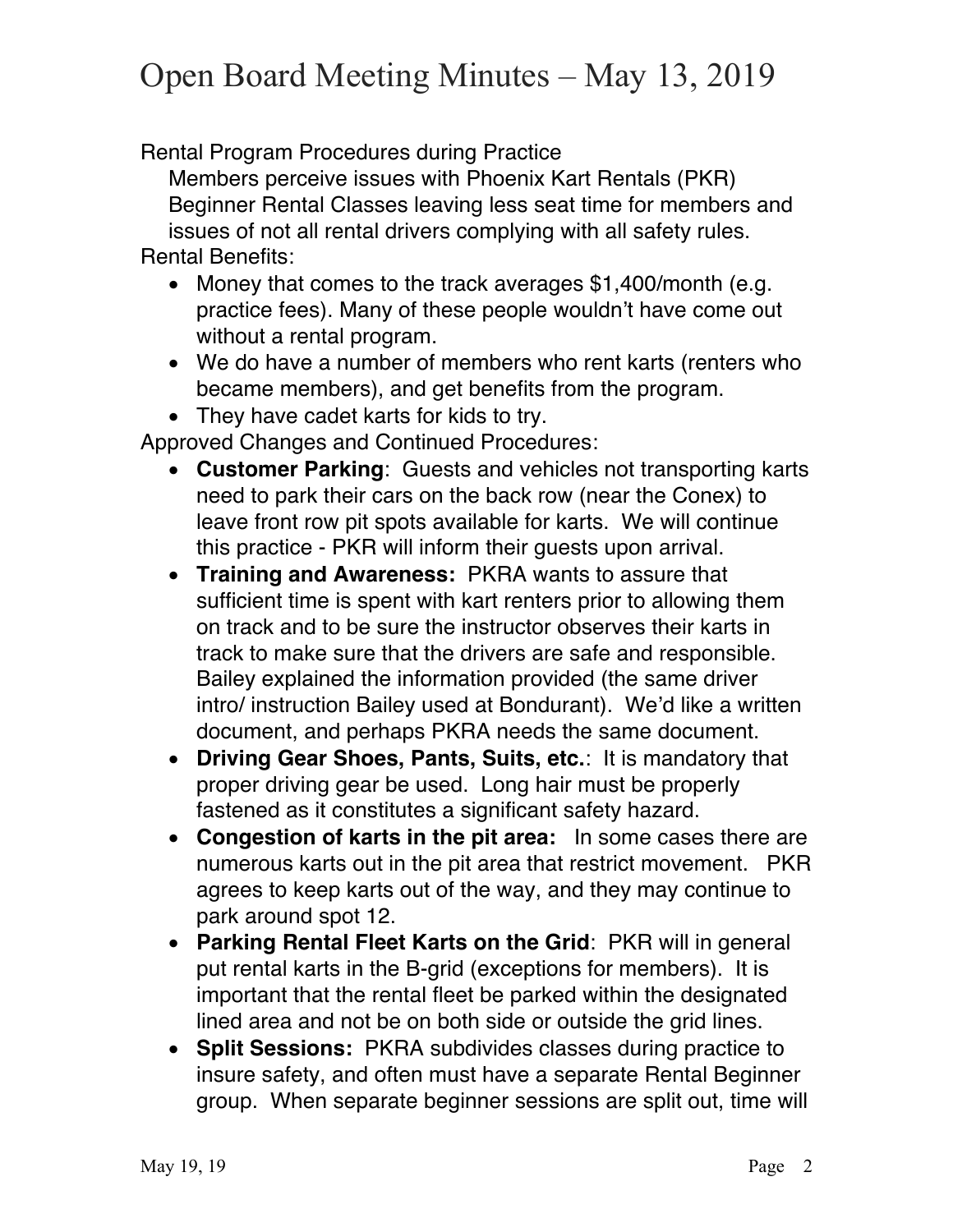Rental Program Procedures during Practice

Members perceive issues with Phoenix Kart Rentals (PKR) Beginner Rental Classes leaving less seat time for members and issues of not all rental drivers complying with all safety rules. Rental Benefits:

- Money that comes to the track averages \$1,400/month (e.g. practice fees). Many of these people wouldn't have come out without a rental program.
- We do have a number of members who rent karts (renters who became members), and get benefits from the program.
- They have cadet karts for kids to try.

Approved Changes and Continued Procedures:

- **Customer Parking**: Guests and vehicles not transporting karts need to park their cars on the back row (near the Conex) to leave front row pit spots available for karts. We will continue this practice - PKR will inform their guests upon arrival.
- **Training and Awareness:** PKRA wants to assure that sufficient time is spent with kart renters prior to allowing them on track and to be sure the instructor observes their karts in track to make sure that the drivers are safe and responsible. Bailey explained the information provided (the same driver intro/ instruction Bailey used at Bondurant). We'd like a written document, and perhaps PKRA needs the same document.
- **Driving Gear Shoes, Pants, Suits, etc.**: It is mandatory that proper driving gear be used. Long hair must be properly fastened as it constitutes a significant safety hazard.
- **Congestion of karts in the pit area:** In some cases there are numerous karts out in the pit area that restrict movement. PKR agrees to keep karts out of the way, and they may continue to park around spot 12.
- **Parking Rental Fleet Karts on the Grid**: PKR will in general put rental karts in the B-grid (exceptions for members). It is important that the rental fleet be parked within the designated lined area and not be on both side or outside the grid lines.
- **Split Sessions:** PKRA subdivides classes during practice to insure safety, and often must have a separate Rental Beginner group. When separate beginner sessions are split out, time will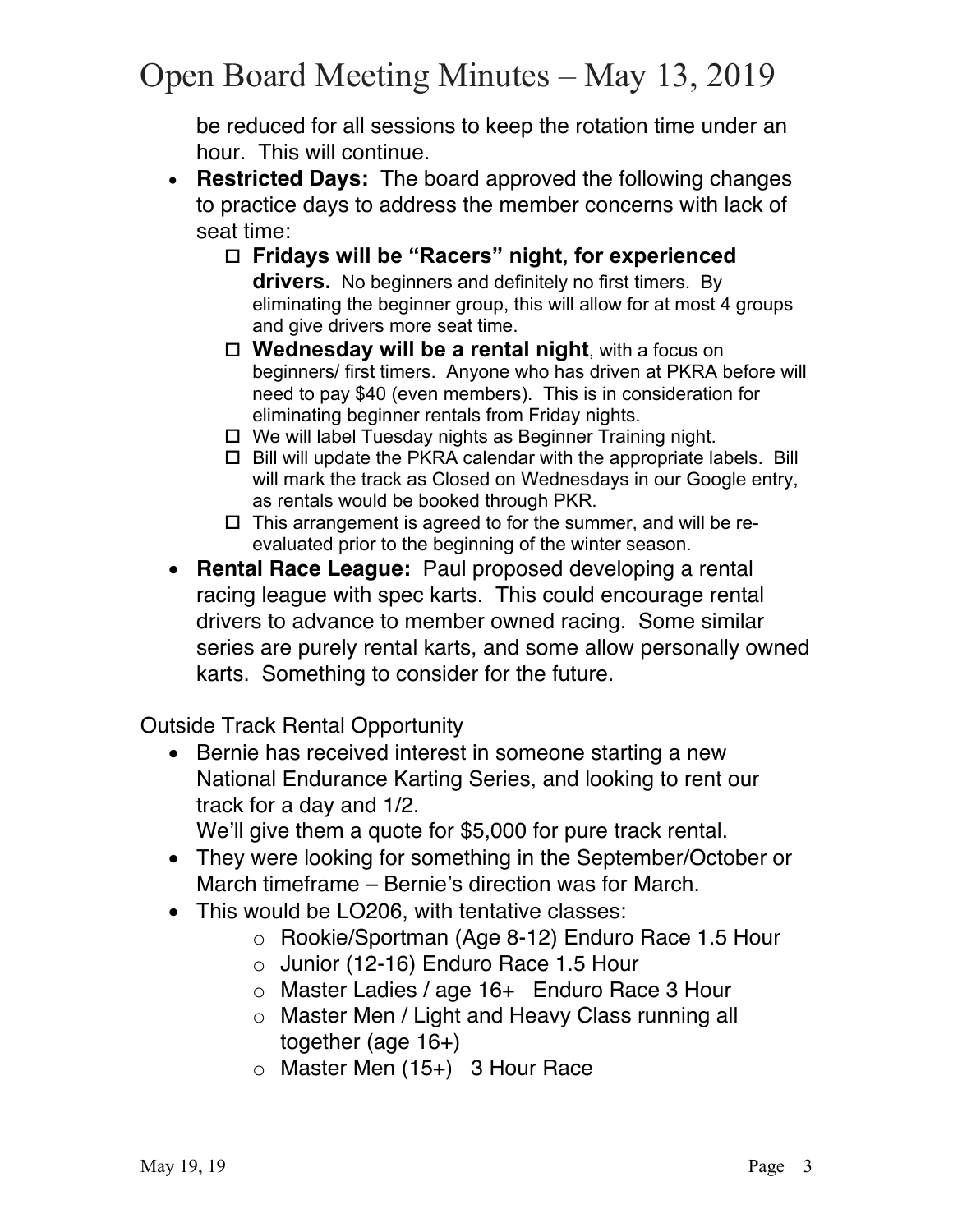be reduced for all sessions to keep the rotation time under an hour. This will continue.

- **Restricted Days:** The board approved the following changes to practice days to address the member concerns with lack of seat time:
	- □ Fridays will be "Racers" night, for experienced **drivers.** No beginners and definitely no first timers. By eliminating the beginner group, this will allow for at most 4 groups and give drivers more seat time.
	- □ Wednesday will be a rental night, with a focus on beginners/ first timers. Anyone who has driven at PKRA before will need to pay \$40 (even members). This is in consideration for eliminating beginner rentals from Friday nights.
	- $\Box$  We will label Tuesday nights as Beginner Training night.
	- $\Box$  Bill will update the PKRA calendar with the appropriate labels. Bill will mark the track as Closed on Wednesdays in our Google entry, as rentals would be booked through PKR.
	- $\Box$  This arrangement is agreed to for the summer, and will be reevaluated prior to the beginning of the winter season.
- **Rental Race League:** Paul proposed developing a rental racing league with spec karts. This could encourage rental drivers to advance to member owned racing. Some similar series are purely rental karts, and some allow personally owned karts. Something to consider for the future.

Outside Track Rental Opportunity

• Bernie has received interest in someone starting a new National Endurance Karting Series, and looking to rent our track for a day and 1/2.

We'll give them a quote for \$5,000 for pure track rental.

- They were looking for something in the September/October or March timeframe – Bernie's direction was for March.
- This would be LO206, with tentative classes:
	- o Rookie/Sportman (Age 8-12) Enduro Race 1.5 Hour
	- o Junior (12-16) Enduro Race 1.5 Hour
	- o Master Ladies / age 16+ Enduro Race 3 Hour
	- o Master Men / Light and Heavy Class running all together (age 16+)
	- $\circ$  Master Men (15+) 3 Hour Race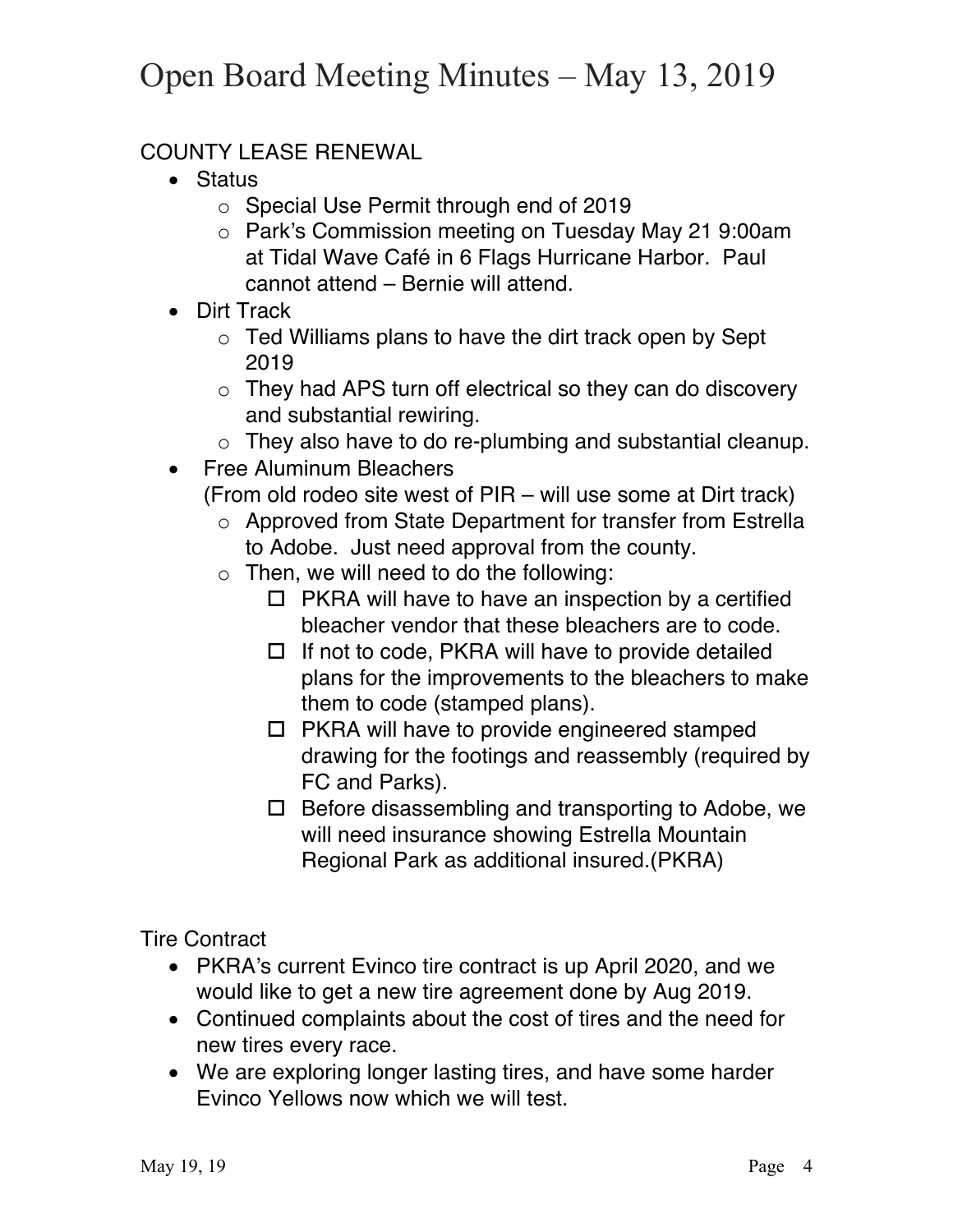### COUNTY LEASE RENEWAL

- Status
	- o Special Use Permit through end of 2019
	- o Park's Commission meeting on Tuesday May 21 9:00am at Tidal Wave Café in 6 Flags Hurricane Harbor. Paul cannot attend – Bernie will attend.
- Dirt Track
	- $\circ$  Ted Williams plans to have the dirt track open by Sept 2019
	- o They had APS turn off electrical so they can do discovery and substantial rewiring.
	- o They also have to do re-plumbing and substantial cleanup.
- Free Aluminum Bleachers
	- (From old rodeo site west of PIR will use some at Dirt track)
		- o Approved from State Department for transfer from Estrella to Adobe. Just need approval from the county.
		- o Then, we will need to do the following:
			- $\Box$  PKRA will have to have an inspection by a certified bleacher vendor that these bleachers are to code.
			- $\Box$  If not to code, PKRA will have to provide detailed plans for the improvements to the bleachers to make them to code (stamped plans).
			- $\Box$  PKRA will have to provide engineered stamped drawing for the footings and reassembly (required by FC and Parks).
			- $\Box$  Before disassembling and transporting to Adobe, we will need insurance showing Estrella Mountain Regional Park as additional insured.(PKRA)

Tire Contract

- PKRA's current Evinco tire contract is up April 2020, and we would like to get a new tire agreement done by Aug 2019.
- Continued complaints about the cost of tires and the need for new tires every race.
- We are exploring longer lasting tires, and have some harder Evinco Yellows now which we will test.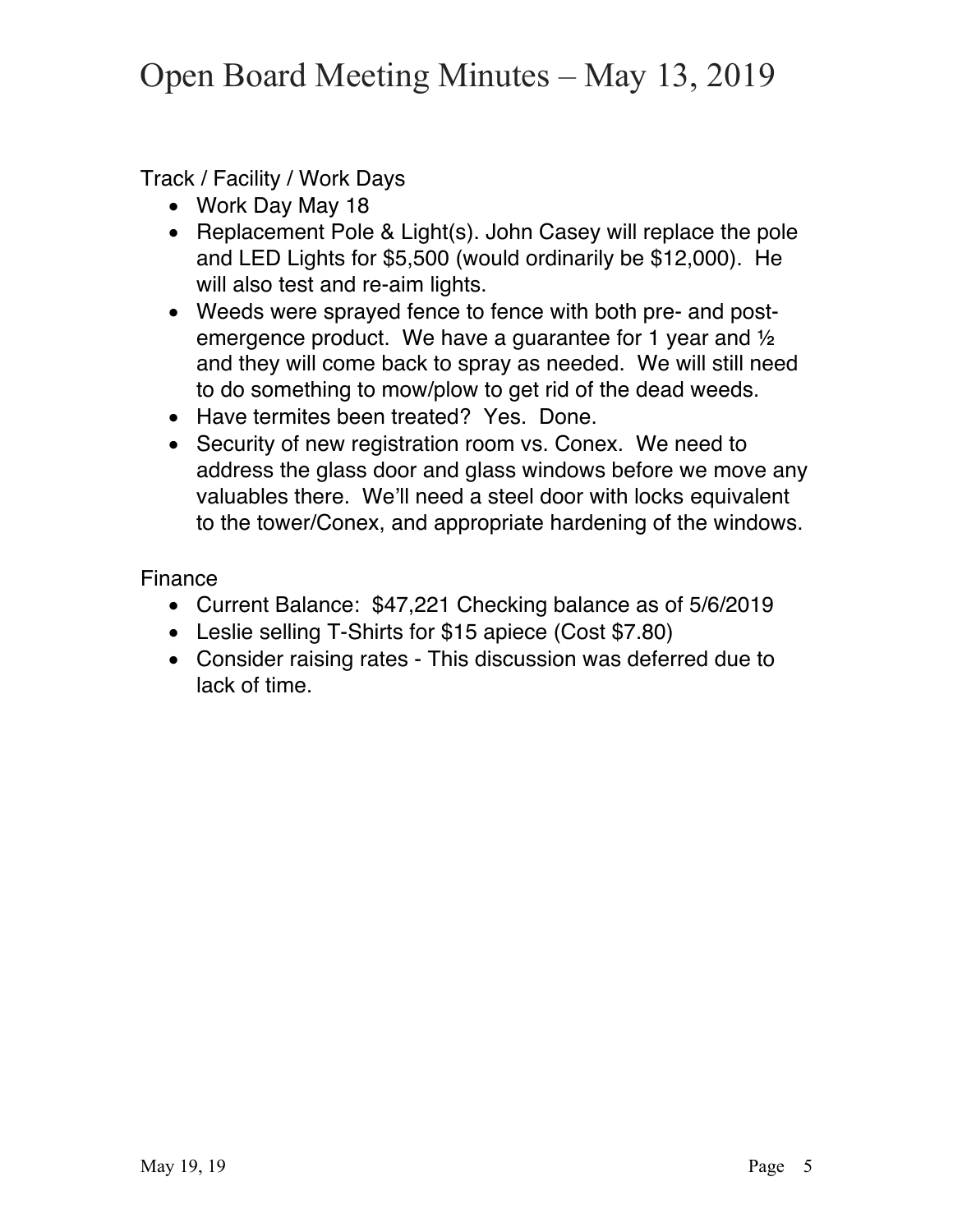Track / Facility / Work Days

- Work Day May 18
- Replacement Pole & Light(s). John Casey will replace the pole and LED Lights for \$5,500 (would ordinarily be \$12,000). He will also test and re-aim lights.
- Weeds were sprayed fence to fence with both pre- and postemergence product. We have a guarantee for 1 year and ½ and they will come back to spray as needed. We will still need to do something to mow/plow to get rid of the dead weeds.
- Have termites been treated? Yes. Done.
- Security of new registration room vs. Conex. We need to address the glass door and glass windows before we move any valuables there. We'll need a steel door with locks equivalent to the tower/Conex, and appropriate hardening of the windows.

Finance

- Current Balance: \$47,221 Checking balance as of 5/6/2019
- Leslie selling T-Shirts for \$15 apiece (Cost \$7.80)
- Consider raising rates This discussion was deferred due to lack of time.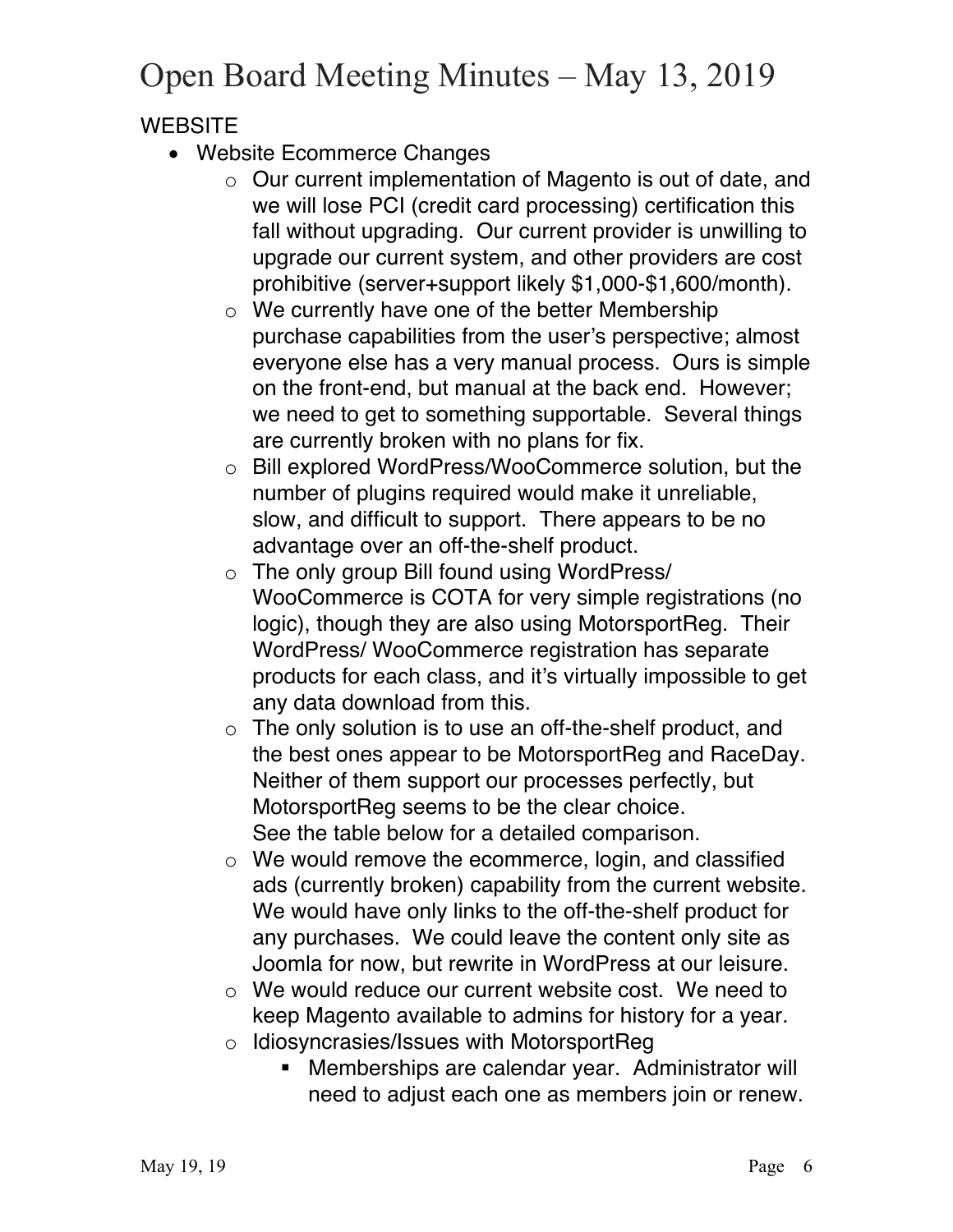### **WEBSITE**

- Website Ecommerce Changes
	- o Our current implementation of Magento is out of date, and we will lose PCI (credit card processing) certification this fall without upgrading. Our current provider is unwilling to upgrade our current system, and other providers are cost prohibitive (server+support likely \$1,000-\$1,600/month).
	- o We currently have one of the better Membership purchase capabilities from the user's perspective; almost everyone else has a very manual process. Ours is simple on the front-end, but manual at the back end. However; we need to get to something supportable. Several things are currently broken with no plans for fix.
	- o Bill explored WordPress/WooCommerce solution, but the number of plugins required would make it unreliable, slow, and difficult to support. There appears to be no advantage over an off-the-shelf product.
	- o The only group Bill found using WordPress/ WooCommerce is COTA for very simple registrations (no logic), though they are also using MotorsportReg. Their WordPress/ WooCommerce registration has separate products for each class, and it's virtually impossible to get any data download from this.
	- o The only solution is to use an off-the-shelf product, and the best ones appear to be MotorsportReg and RaceDay. Neither of them support our processes perfectly, but MotorsportReg seems to be the clear choice. See the table below for a detailed comparison.
	- o We would remove the ecommerce, login, and classified ads (currently broken) capability from the current website. We would have only links to the off-the-shelf product for any purchases. We could leave the content only site as Joomla for now, but rewrite in WordPress at our leisure.
	- o We would reduce our current website cost. We need to keep Magento available to admins for history for a year.
	- o Idiosyncrasies/Issues with MotorsportReg
		- Memberships are calendar year. Administrator will need to adjust each one as members join or renew.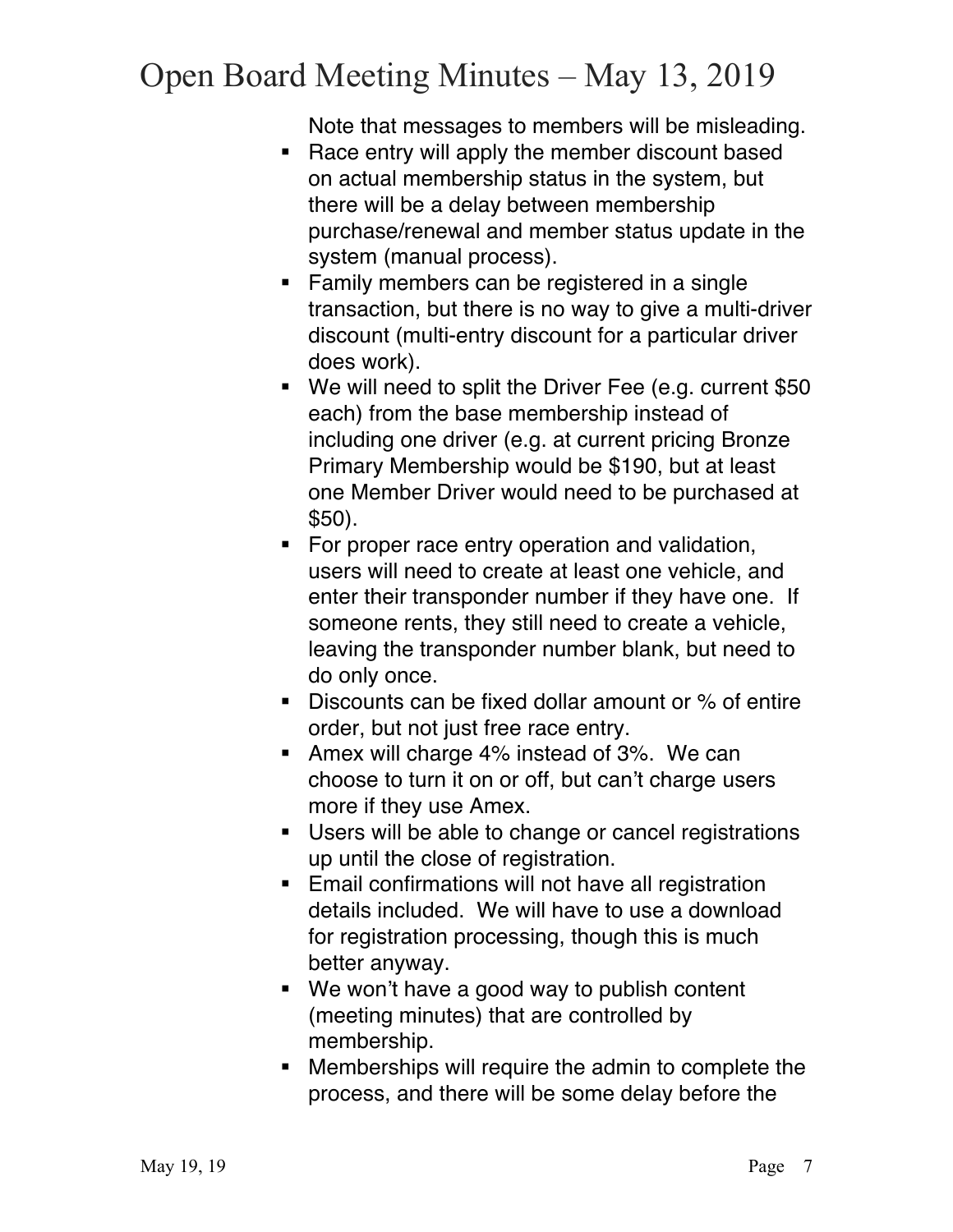Note that messages to members will be misleading.

- Race entry will apply the member discount based on actual membership status in the system, but there will be a delay between membership purchase/renewal and member status update in the system (manual process).
- Family members can be registered in a single transaction, but there is no way to give a multi-driver discount (multi-entry discount for a particular driver does work).
- We will need to split the Driver Fee (e.g. current \$50 each) from the base membership instead of including one driver (e.g. at current pricing Bronze Primary Membership would be \$190, but at least one Member Driver would need to be purchased at \$50).
- **•** For proper race entry operation and validation, users will need to create at least one vehicle, and enter their transponder number if they have one. If someone rents, they still need to create a vehicle, leaving the transponder number blank, but need to do only once.
- Discounts can be fixed dollar amount or % of entire order, but not just free race entry.
- Amex will charge 4% instead of 3%. We can choose to turn it on or off, but can't charge users more if they use Amex.
- Users will be able to change or cancel registrations up until the close of registration.
- **Email confirmations will not have all registration** details included. We will have to use a download for registration processing, though this is much better anyway.
- We won't have a good way to publish content (meeting minutes) that are controlled by membership.
- Memberships will require the admin to complete the process, and there will be some delay before the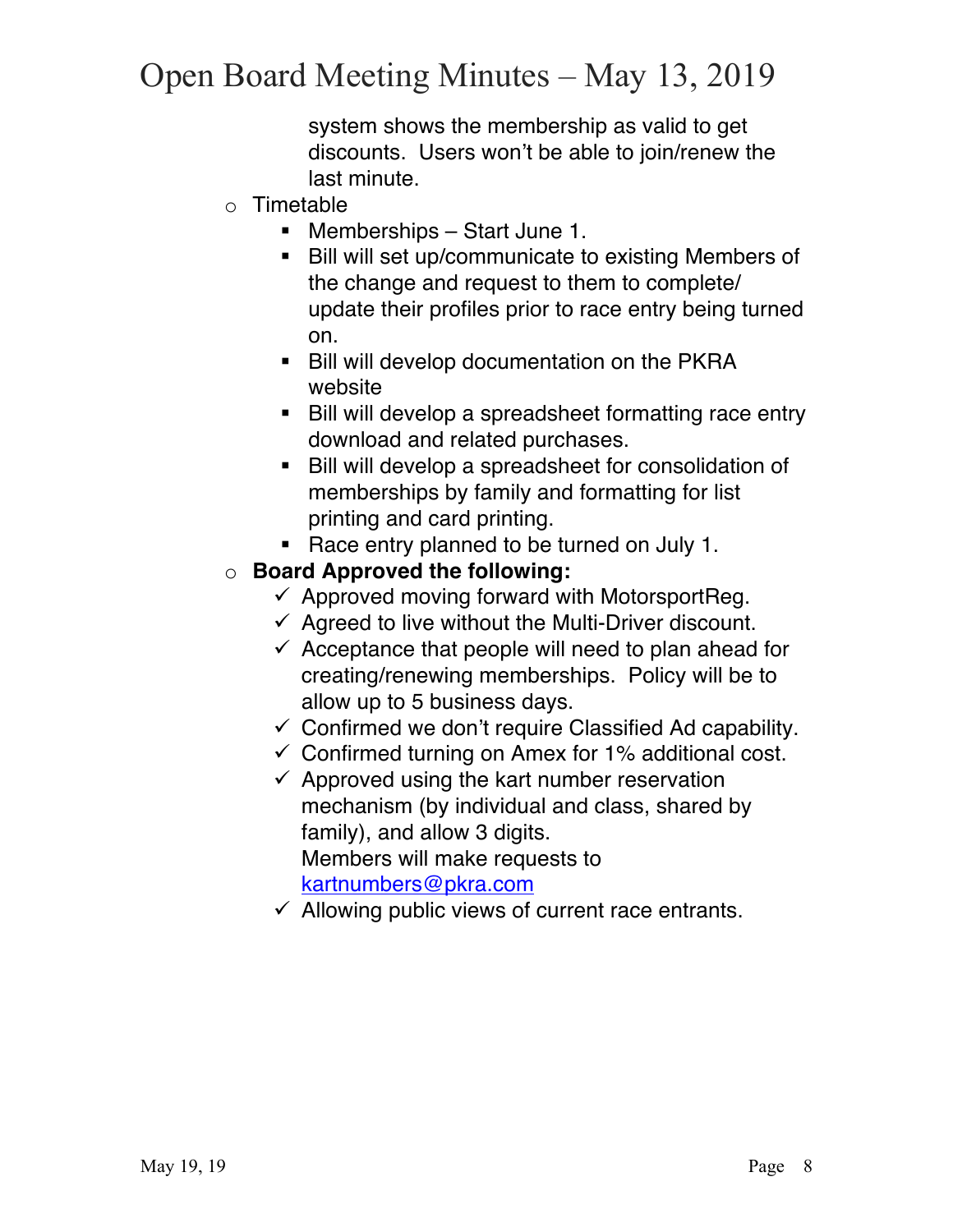system shows the membership as valid to get discounts. Users won't be able to join/renew the last minute.

- o Timetable
	- § Memberships Start June 1.
	- Bill will set up/communicate to existing Members of the change and request to them to complete/ update their profiles prior to race entry being turned on.
	- Bill will develop documentation on the PKRA website
	- Bill will develop a spreadsheet formatting race entry download and related purchases.
	- Bill will develop a spreadsheet for consolidation of memberships by family and formatting for list printing and card printing.
	- Race entry planned to be turned on July 1.

### o **Board Approved the following:**

- $\checkmark$  Approved moving forward with MotorsportReg.
- $\checkmark$  Agreed to live without the Multi-Driver discount.
- $\checkmark$  Acceptance that people will need to plan ahead for creating/renewing memberships. Policy will be to allow up to 5 business days.
- $\checkmark$  Confirmed we don't require Classified Ad capability.
- $\checkmark$  Confirmed turning on Amex for 1% additional cost.
- $\checkmark$  Approved using the kart number reservation mechanism (by individual and class, shared by family), and allow 3 digits. Members will make requests to kartnumbers@pkra.com
- $\checkmark$  Allowing public views of current race entrants.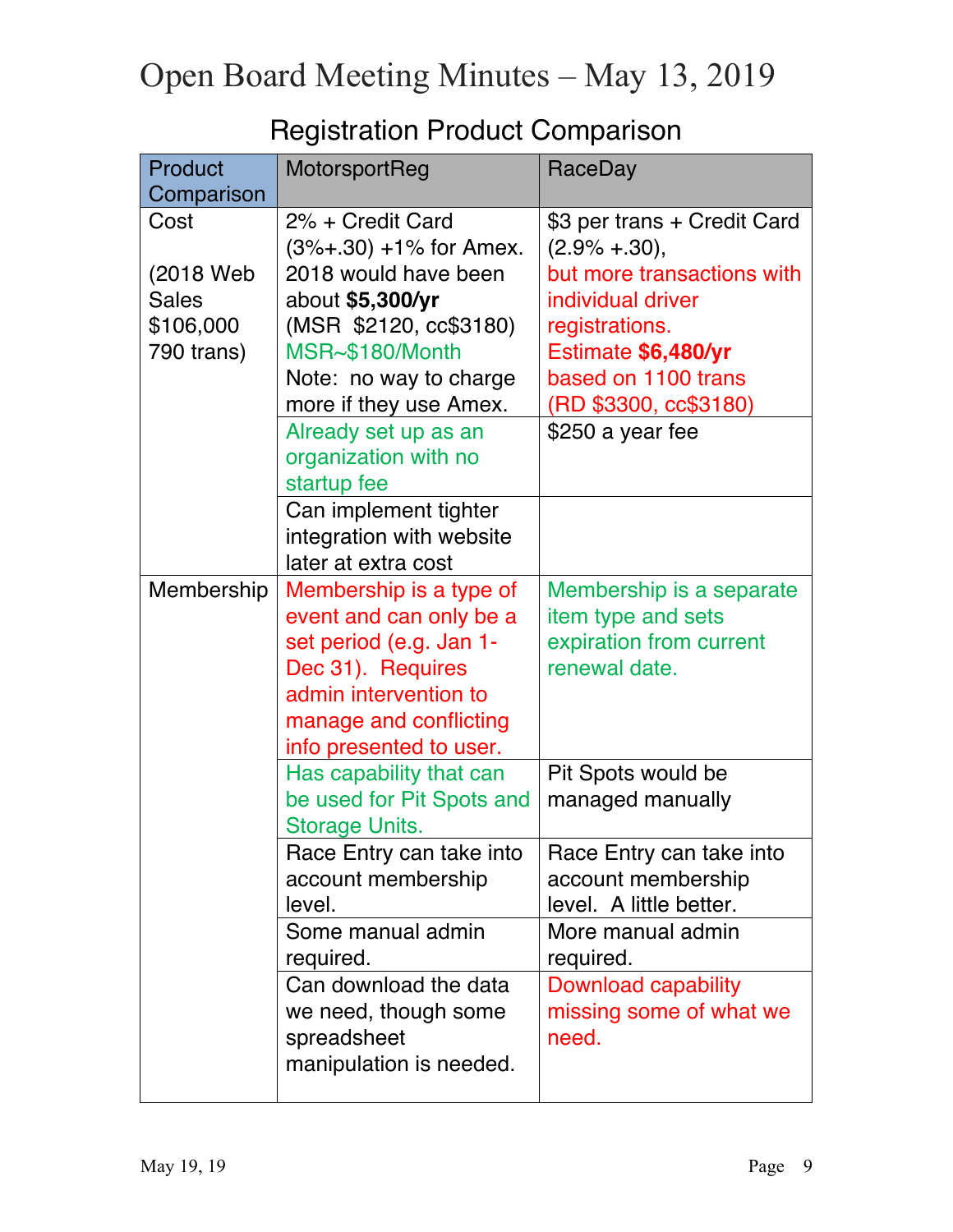### Registration Product Comparison

| <b>Product</b> | MotorsportReg                 | RaceDay                     |
|----------------|-------------------------------|-----------------------------|
| Comparison     |                               |                             |
| Cost           | 2% + Credit Card              | \$3 per trans + Credit Card |
|                | $(3\% + .30) + 1\%$ for Amex. | $(2.9\% + .30),$            |
| (2018 Web)     | 2018 would have been          | but more transactions with  |
| <b>Sales</b>   | about \$5,300/yr              | individual driver           |
| \$106,000      | (MSR \$2120, cc\$3180)        | registrations.              |
| 790 trans)     | MSR~\$180/Month               | Estimate \$6,480/yr         |
|                | Note: no way to charge        | based on 1100 trans         |
|                | more if they use Amex.        | (RD \$3300, cc\$3180)       |
|                | Already set up as an          | \$250 a year fee            |
|                | organization with no          |                             |
|                | startup fee                   |                             |
|                | Can implement tighter         |                             |
|                | integration with website      |                             |
|                | later at extra cost           |                             |
| Membership     | Membership is a type of       | Membership is a separate    |
|                | event and can only be a       | item type and sets          |
|                | set period (e.g. Jan 1-       | expiration from current     |
|                | Dec 31). Requires             | renewal date.               |
|                | admin intervention to         |                             |
|                | manage and conflicting        |                             |
|                | info presented to user.       |                             |
|                | Has capability that can       | Pit Spots would be          |
|                | be used for Pit Spots and     | managed manually            |
|                | <b>Storage Units.</b>         |                             |
|                | Race Entry can take into      | Race Entry can take into    |
|                | account membership            | account membership          |
|                | level.                        | level. A little better.     |
|                | Some manual admin             | More manual admin           |
|                | required.                     | required.                   |
|                | Can download the data         | Download capability         |
|                | we need, though some          | missing some of what we     |
|                | spreadsheet                   | need.                       |
|                | manipulation is needed.       |                             |
|                |                               |                             |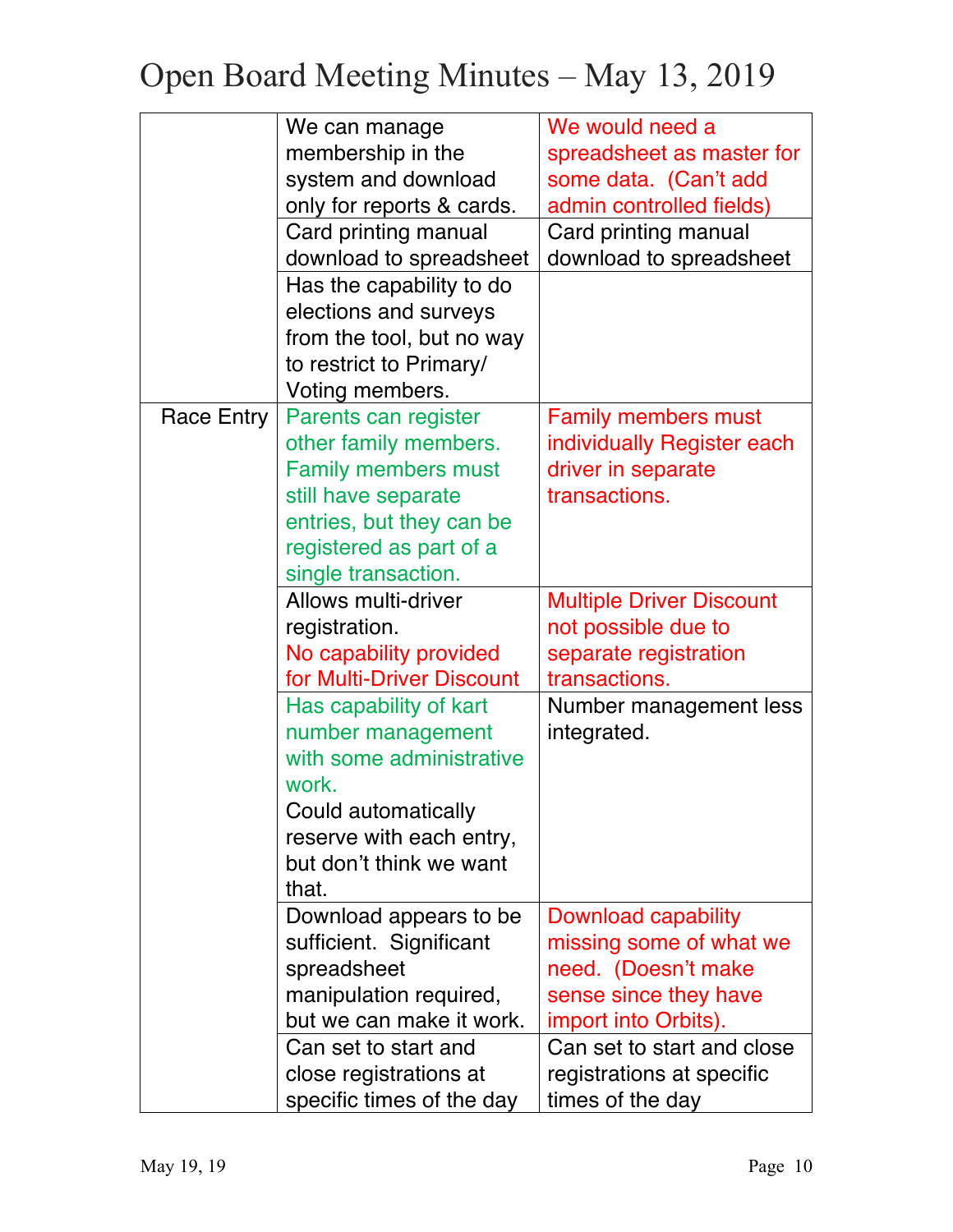|            | We can manage              | We would need a                 |
|------------|----------------------------|---------------------------------|
|            | membership in the          | spreadsheet as master for       |
|            | system and download        | some data. (Can't add           |
|            | only for reports & cards.  | admin controlled fields)        |
|            | Card printing manual       | Card printing manual            |
|            | download to spreadsheet    | download to spreadsheet         |
|            | Has the capability to do   |                                 |
|            | elections and surveys      |                                 |
|            | from the tool, but no way  |                                 |
|            | to restrict to Primary/    |                                 |
|            | Voting members.            |                                 |
| Race Entry | Parents can register       | <b>Family members must</b>      |
|            | other family members.      | individually Register each      |
|            | <b>Family members must</b> | driver in separate              |
|            | still have separate        | transactions.                   |
|            | entries, but they can be   |                                 |
|            | registered as part of a    |                                 |
|            | single transaction.        |                                 |
|            | Allows multi-driver        | <b>Multiple Driver Discount</b> |
|            | registration.              | not possible due to             |
|            | No capability provided     | separate registration           |
|            | for Multi-Driver Discount  | transactions.                   |
|            | Has capability of kart     | Number management less          |
|            | number management          | integrated.                     |
|            | with some administrative   |                                 |
|            | work.                      |                                 |
|            | Could automatically        |                                 |
|            | reserve with each entry,   |                                 |
|            | but don't think we want    |                                 |
|            | that.                      |                                 |
|            | Download appears to be     | Download capability             |
|            | sufficient. Significant    | missing some of what we         |
|            | spreadsheet                | need. (Doesn't make             |
|            | manipulation required,     | sense since they have           |
|            | but we can make it work.   | import into Orbits).            |
|            | Can set to start and       | Can set to start and close      |
|            | close registrations at     | registrations at specific       |
|            | specific times of the day  | times of the day                |